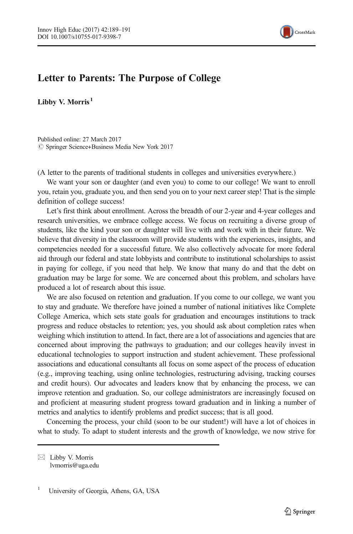

## $\mathbf{L}$  and  $\mathbf{C}$

Libby V. Morris<sup>1</sup>

Published online: 27 March 2017  $\oslash$  Springer Science+Business Media New York 2017

(A letter to the parents of traditional students in colleges and universities everywhere.)

We want your son or daughter (and even you) to come to our college! We want to enroll you, retain you, graduate you, and then send you on to your next career step! That is the simple definition of college success!

Let's first think about enrollment. Across the breadth of our 2-year and 4-year colleges and research universities, we embrace college access. We focus on recruiting a diverse group of students, like the kind your son or daughter will live with and work with in their future. We believe that diversity in the classroom will provide students with the experiences, insights, and competencies needed for a successful future. We also collectively advocate for more federal aid through our federal and state lobbyists and contribute to institutional scholarships to assist in paying for college, if you need that help. We know that many do and that the debt on graduation may be large for some. We are concerned about this problem, and scholars have produced a lot of research about this issue.

We are also focused on retention and graduation. If you come to our college, we want you to stay and graduate. We therefore have joined a number of national initiatives like Complete College America, which sets state goals for graduation and encourages institutions to track progress and reduce obstacles to retention; yes, you should ask about completion rates when weighing which institution to attend. In fact, there are a lot of associations and agencies that are concerned about improving the pathways to graduation; and our colleges heavily invest in educational technologies to support instruction and student achievement. These professional associations and educational consultants all focus on some aspect of the process of education (e.g., improving teaching, using online technologies, restructuring advising, tracking courses and credit hours). Our advocates and leaders know that by enhancing the process, we can improve retention and graduation. So, our college administrators are increasingly focused on and proficient at measuring student progress toward graduation and in linking a number of metrics and analytics to identify problems and predict success; that is all good.

Concerning the process, your child (soon to be our student!) will have a lot of choices in what to study. To adapt to student interests and the growth of knowledge, we now strive for

 $\boxtimes$  Libby V. Morris lvmorris@uga.edu

<sup>1</sup> University of Georgia, Athens, GA, USA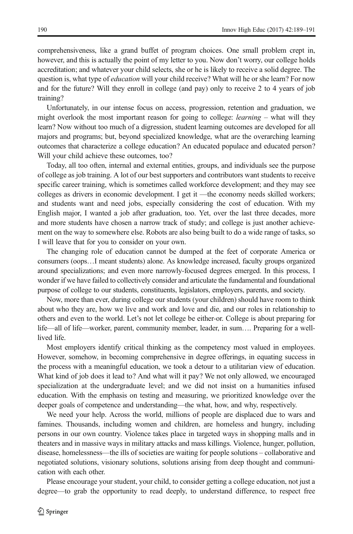comprehensiveness, like a grand buffet of program choices. One small problem crept in, however, and this is actually the point of my letter to you. Now don't worry, our college holds accreditation; and whatever your child selects, she or he is likely to receive a solid degree. The question is, what type of *education* will your child receive? What will he or she learn? For now and for the future? Will they enroll in college (and pay) only to receive 2 to 4 years of job training?

Unfortunately, in our intense focus on access, progression, retention and graduation, we might overlook the most important reason for going to college: *learning* – what will they learn? Now without too much of a digression, student learning outcomes are developed for all majors and programs; but, beyond specialized knowledge, what are the overarching learning outcomes that characterize a college education? An educated populace and educated person? Will your child achieve these outcomes, too?

Today, all too often, internal and external entities, groups, and individuals see the purpose of college as job training. A lot of our best supporters and contributors want students to receive specific career training, which is sometimes called workforce development; and they may see colleges as drivers in economic development. I get it —the economy needs skilled workers; and students want and need jobs, especially considering the cost of education. With my English major, I wanted a job after graduation, too. Yet, over the last three decades, more and more students have chosen a narrow track of study; and college is just another achievement on the way to somewhere else. Robots are also being built to do a wide range of tasks, so I will leave that for you to consider on your own.

The changing role of education cannot be dumped at the feet of corporate America or consumers (oops…I meant students) alone. As knowledge increased, faculty groups organized around specializations; and even more narrowly-focused degrees emerged. In this process, I wonder if we have failed to collectively consider and articulate the fundamental and foundational purpose of college to our students, constituents, legislators, employers, parents, and society.

Now, more than ever, during college our students (your children) should have room to think about who they are, how we live and work and love and die, and our roles in relationship to others and even to the world. Let's not let college be either-or. College is about preparing for life—all of life—worker, parent, community member, leader, in sum…. Preparing for a welllived life.

Most employers identify critical thinking as the competency most valued in employees. However, somehow, in becoming comprehensive in degree offerings, in equating success in the process with a meaningful education, we took a detour to a utilitarian view of education. What kind of job does it lead to? And what will it pay? We not only allowed, we encouraged specialization at the undergraduate level; and we did not insist on a humanities infused education. With the emphasis on testing and measuring, we prioritized knowledge over the deeper goals of competence and understanding—the what, how, and why, respectively.

We need your help. Across the world, millions of people are displaced due to wars and famines. Thousands, including women and children, are homeless and hungry, including persons in our own country. Violence takes place in targeted ways in shopping malls and in theaters and in massive ways in military attacks and mass killings. Violence, hunger, pollution, disease, homelessness—the ills of societies are waiting for people solutions – collaborative and negotiated solutions, visionary solutions, solutions arising from deep thought and communication with each other.

Please encourage your student, your child, to consider getting a college education, not just a degree—to grab the opportunity to read deeply, to understand difference, to respect free